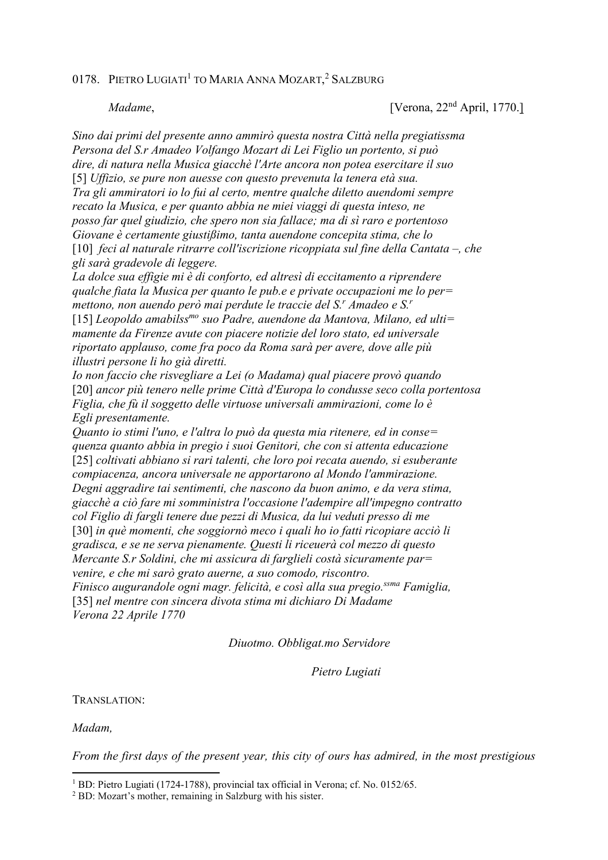## 0178. PIETRO LUGIATI<sup>1</sup> to Maria Anna Mozart,<sup>2</sup> Salzburg

*Madame*, [Verona, 22<sup>nd</sup> April, 1770.]

*Sino dai primi del presente anno ammirò questa nostra Città nella pregiatissma Persona del S.r Amadeo Volfango Mozart di Lei Figlio un portento, si può dire, di natura nella Musica giacchè l'Arte ancora non potea esercitare il suo*  [5] *Uffizio, se pure non auesse con questo prevenuta la tenera età sua. Tra gli ammiratori io lo fui al certo, mentre qualche diletto auendomi sempre recato la Musica, e per quanto abbia ne miei viaggi di questa inteso, ne posso far quel giudizio, che spero non sia fallace; ma di sì raro e portentoso Giovane è certamente giustißimo, tanta auendone concepita stima, che lo*  [10] *feci al naturale ritrarre coll'iscrizione ricoppiata sul fine della Cantata –, che gli sarà gradevole di leggere.* 

*La dolce sua effigie mi è di conforto, ed altresì di eccitamento a riprendere qualche fiata la Musica per quanto le pub.e e private occupazioni me lo per= mettono, non auendo però mai perdute le traccie del S.<sup>r</sup> Amadeo e S.<sup>r</sup>* [15] *Leopoldo amabilssmo suo Padre, auendone da Mantova, Milano, ed ulti= mamente da Firenze avute con piacere notizie del loro stato, ed universale riportato applauso, come fra poco da Roma sarà per avere, dove alle più illustri persone li ho già diretti.* 

*Io non faccio che risvegliare a Lei (o Madama) qual piacere provò quando*  [20] *ancor più tenero nelle prime Città d'Europa lo condusse seco colla portentosa Figlia, che fù il soggetto delle virtuose universali ammirazioni, come lo è Egli presentamente.* 

*Quanto io stimi l'uno, e l'altra lo può da questa mia ritenere, ed in conse= quenza quanto abbia in pregio i suoi Genitori, che con si attenta educazione*  [25] *coltivati abbiano si rari talenti, che loro poi recata auendo, si esuberante compiacenza, ancora universale ne apportarono al Mondo l'ammirazione. Degni aggradire tai sentimenti, che nascono da buon animo, e da vera stima, giacchè a ciò fare mi somministra l'occasione l'adempire all'impegno contratto col Figlio di fargli tenere due pezzi di Musica, da lui veduti presso di me*  [30] *in què momenti, che soggiornò meco i quali ho io fatti ricopiare acciò li gradisca, e se ne serva pienamente. Questi li riceuerà col mezzo di questo Mercante S.r Soldini, che mi assicura di farglieli costà sicuramente par= venire, e che mi sarò grato auerne, a suo comodo, riscontro. Finisco augurandole ogni magr. felicità, e così alla sua pregio.ssma Famiglia,*  [35] *nel mentre con sincera divota stima mi dichiaro Di Madame* 

*Verona 22 Aprile 1770* 

 *Diuotmo. Obbligat.mo Servidore* 

 *Pietro Lugiati* 

TRANSLATION:

*Madam,* 

 $\overline{a}$ 

*From the first days of the present year, this city of ours has admired, in the most prestigious* 

<sup>&</sup>lt;sup>1</sup> BD: Pietro Lugiati (1724-1788), provincial tax official in Verona; cf. No. 0152/65.

<sup>2</sup> BD: Mozart's mother, remaining in Salzburg with his sister.